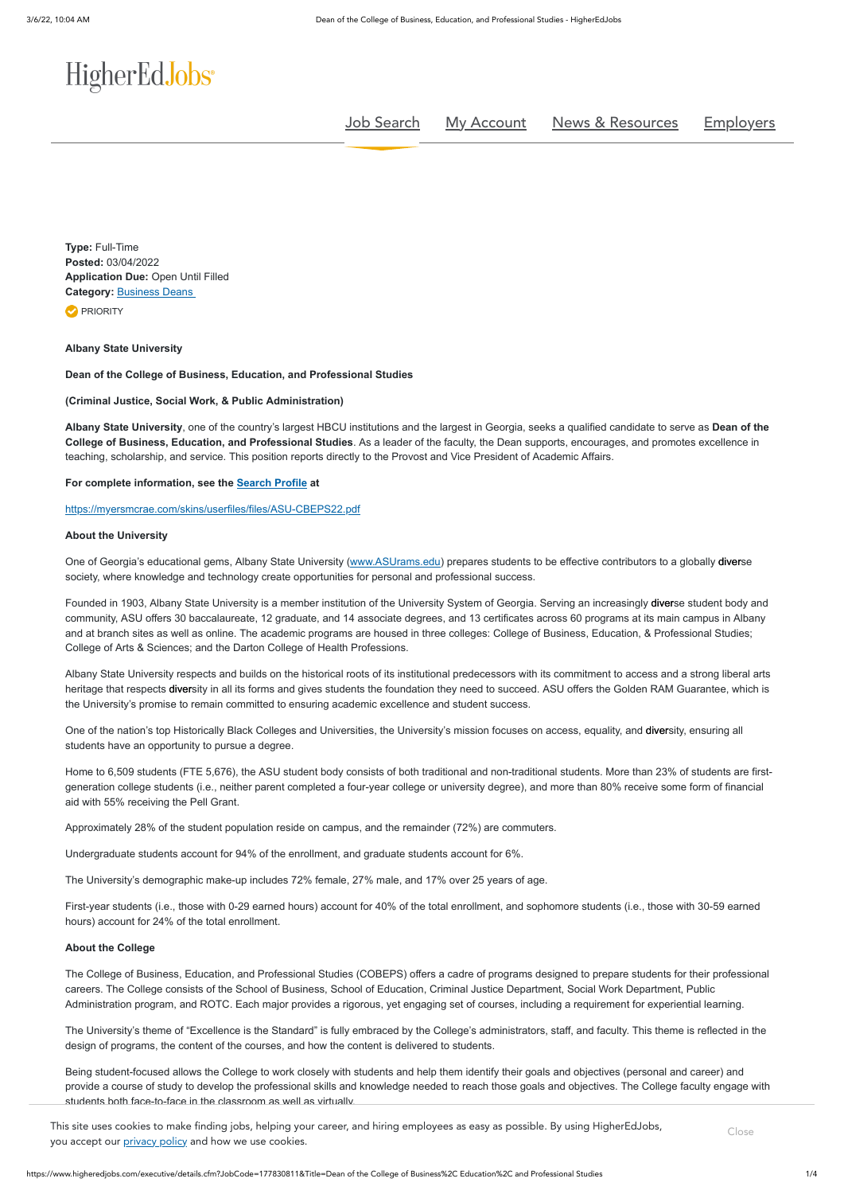# HigherEdJobs<sup>®</sup>

**Type:** Full-Time **Posted:** 03/04/2022 **Application Due:** Open Until Filled **Category: [Business Deans](https://www.higheredjobs.com/executive/search.cfm?JobCat=244) PRIORITY** 

https://www.higheredjobs.com/executive/details.cfm?JobCode=177830811&Title=Dean of the College of Business%2C Education%2C and Professional Studies 1/4

[Job Search](https://www.higheredjobs.com/search/) [My Account](https://www.higheredjobs.com/myHigherEdJobs/) [News & Resources](https://www.higheredjobs.com/career/) [Employers](https://www.higheredjobs.com/employers/)

# **Albany State University**

### **Dean of the College of Business, Education, and Professional Studies**

### **(Criminal Justice, Social Work, & Public Administration)**

One of Georgia's educational gems, Albany State University ([www.ASUrams.edu](http://www.asurams.edu/)) prepares students to be effective contributors to a globally diverse society, where knowledge and technology create opportunities for personal and professional success.

**Albany State University**, one of the country's largest HBCU institutions and the largest in Georgia, seeks a qualified candidate to serve as **Dean of the College of Business, Education, and Professional Studies**. As a leader of the faculty, the Dean supports, encourages, and promotes excellence in teaching, scholarship, and service. This position reports directly to the Provost and Vice President of Academic Affairs.

Founded in 1903, Albany State University is a member institution of the University System of Georgia. Serving an increasingly diverse student body and community, ASU offers 30 baccalaureate, 12 graduate, and 14 associate degrees, and 13 certificates across 60 programs at its main campus in Albany and at branch sites as well as online. The academic programs are housed in three colleges: College of Business, Education, & Professional Studies; College of Arts & Sciences; and the Darton College of Health Professions.

### **For complete information, see the [Search Profile](https://myersmcrae.com/skins/userfiles/files/ASU-CBEPS22.pdf) at**

# <https://myersmcrae.com/skins/userfiles/files/ASU-CBEPS22.pdf>

### **About the University**

One of the nation's top Historically Black Colleges and Universities, the University's mission focuses on access, equality, and diversity, ensuring all students have an opportunity to pursue a degree.

Albany State University respects and builds on the historical roots of its institutional predecessors with its commitment to access and a strong liberal arts heritage that respects diversity in all its forms and gives students the foundation they need to succeed. ASU offers the Golden RAM Guarantee, which is the University's promise to remain committed to ensuring academic excellence and student success.

This site uses cookies to make finding jobs, helping your career, and hiring employees as easy as possible. By using HigherEdJobs, you accept our **privacy policy** and how we use cookies.

Home to 6,509 students (FTE 5,676), the ASU student body consists of both traditional and non-traditional students. More than 23% of students are firstgeneration college students (i.e., neither parent completed a four-year college or university degree), and more than 80% receive some form of financial aid with 55% receiving the Pell Grant.

Approximately 28% of the student population reside on campus, and the remainder (72%) are commuters.

Undergraduate students account for 94% of the enrollment, and graduate students account for 6%.

The University's demographic make-up includes 72% female, 27% male, and 17% over 25 years of age.

First-year students (i.e., those with 0-29 earned hours) account for 40% of the total enrollment, and sophomore students (i.e., those with 30-59 earned hours) account for 24% of the total enrollment.

# **About the College**

The College of Business, Education, and Professional Studies (COBEPS) offers a cadre of programs designed to prepare students for their professional careers. The College consists of the School of Business, School of Education, Criminal Justice Department, Social Work Department, Public Administration program, and ROTC. Each major provides a rigorous, yet engaging set of courses, including a requirement for experiential learning.

The University's theme of "Excellence is the Standard" is fully embraced by the College's administrators, staff, and faculty. This theme is reflected in the design of programs, the content of the courses, and how the content is delivered to students.

Being student-focused allows the College to work closely with students and help them identify their goals and objectives (personal and career) and provide a course of study to develop the professional skills and knowledge needed to reach those goals and objectives. The College faculty engage with students both face-to-face in the classroom as well as virtually.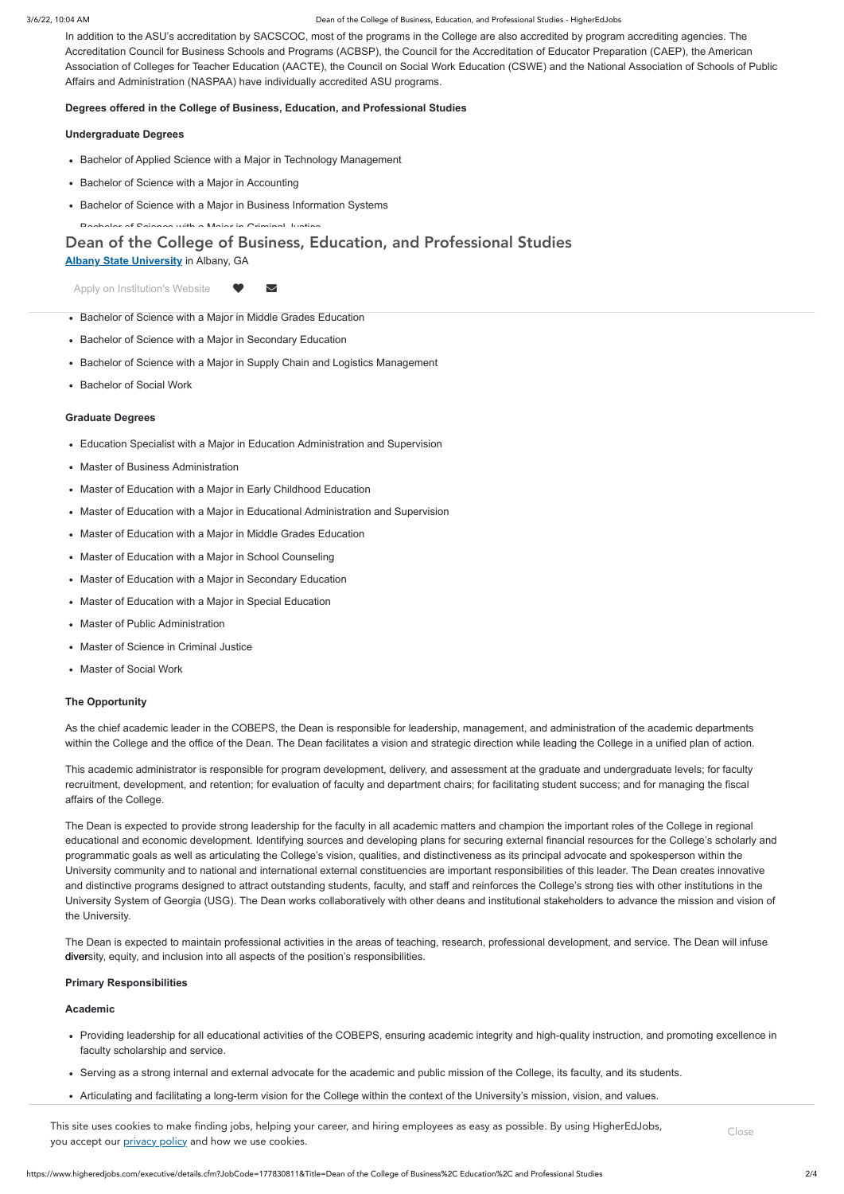#### 3/6/22, 10:04 AM Dean of the College of Business, Education, and Professional Studies - HigherEdJobs

In addition to the ASU's accreditation by SACSCOC, most of the programs in the College are also accredited by program accrediting agencies. The Accreditation Council for Business Schools and Programs (ACBSP), the Council for the Accreditation of Educator Preparation (CAEP), the American Association of Colleges for Teacher Education (AACTE), the Council on Social Work Education (CSWE) and the National Association of Schools of Public Affairs and Administration (NASPAA) have individually accredited ASU programs.

# **Degrees offered in the College of Business, Education, and Professional Studies**

# **Undergraduate Degrees**

- Bachelor of Applied Science with a Major in Technology Management
- Bachelor of Science with a Major in Accounting
- Bachelor of Science with a Major in Business Information Systems
- Bachelor of Science with a Major in Criminal Justice

# Dean of the College of Business, Education, and Professional Studies

# **Graduate Degrees**

- Education Specialist with a Major in Education Administration and Supervision
- Master of Business Administration
- Master of Education with a Major in Early Childhood Education
- Master of Education with a Major in Educational Administration and Supervision
- Master of Education with a Major in Middle Grades Education
- Master of Education with a Major in School Counseling
- Master of Education with a Major in Secondary Education
- Master of Education with a Major in Special Education
- Master of Public Administration
- Master of Science in Criminal Justice
- Master of Social Work

The Dean is expected to maintain professional activities in the areas of teaching, research, professional development, and service. The Dean will infuse diversity, equity, and inclusion into all aspects of the position's responsibilities.

# **The Opportunity**

Building effective working relationships with the SACSCOC and discipline-specific accrediting agencies and supports faculty/staff to maintain current This site uses cookies to make finding jobs, helping your career, and hiring employees as easy as possible. By using HigherEdJobs,<br>. you accept our [privacy policy](https://www.higheredjobs.com/company/privacypolicy.cfm) and how we use cookies.

As the chief academic leader in the COBEPS, the Dean is responsible for leadership, management, and administration of the academic departments within the College and the office of the Dean. The Dean facilitates a vision and strategic direction while leading the College in a unified plan of action.

This academic administrator is responsible for program development, delivery, and assessment at the graduate and undergraduate levels; for faculty recruitment, development, and retention; for evaluation of faculty and department chairs; for facilitating student success; and for managing the fiscal affairs of the College.

The Dean is expected to provide strong leadership for the faculty in all academic matters and champion the important roles of the College in regional educational and economic development. Identifying sources and developing plans for securing external financial resources for the College's scholarly and programmatic goals as well as articulating the College's vision, qualities, and distinctiveness as its principal advocate and spokesperson within the University community and to national and international external constituencies are important responsibilities of this leader. The Dean creates innovative and distinctive programs designed to attract outstanding students, faculty, and staff and reinforces the College's strong ties with other institutions in the University System of Georgia (USG). The Dean works collaboratively with other deans and institutional stakeholders to advance the mission and vision of the University.

# **Primary Responsibilities**

# **Academic**

- Providing leadership for all educational activities of the COBEPS, ensuring academic integrity and high-quality instruction, and promoting excellence in faculty scholarship and service.
- Serving as a strong internal and external advocate for the academic and public mission of the College, its faculty, and its students.
- Articulating and facilitating a long-term vision for the College within the context of the University's mission, vision, and values.

**[Albany State University](https://www.asurams.edu/)** in Albany, GA

Apply on Institution's Website  $\qquad \blacktriangleright$ 

- Bachelor of Science with a Major in Middle Grades Education
- Bachelor of Science with a Major in Secondary Education
- Bachelor of Science with a Major in Supply Chain and Logistics Management
- Bachelor of Social Work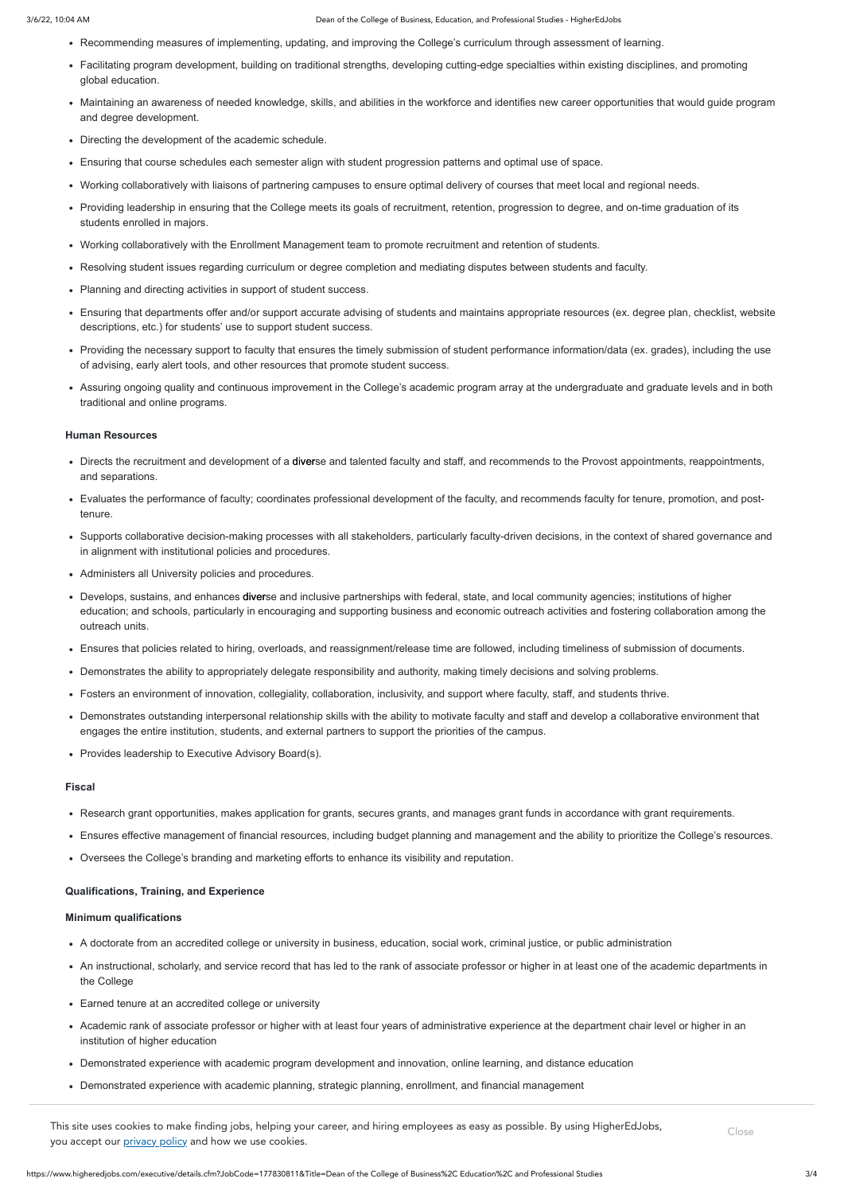- Recommending measures of implementing, updating, and improving the College's curriculum through assessment of learning.
- Facilitating program development, building on traditional strengths, developing cutting-edge specialties within existing disciplines, and promoting global education.
- Maintaining an awareness of needed knowledge, skills, and abilities in the workforce and identifies new career opportunities that would guide program and degree development.
- Directing the development of the academic schedule.
- Ensuring that course schedules each semester align with student progression patterns and optimal use of space.
- Working collaboratively with liaisons of partnering campuses to ensure optimal delivery of courses that meet local and regional needs.
- Providing leadership in ensuring that the College meets its goals of recruitment, retention, progression to degree, and on-time graduation of its students enrolled in majors.
- Working collaboratively with the Enrollment Management team to promote recruitment and retention of students.
- Resolving student issues regarding curriculum or degree completion and mediating disputes between students and faculty.
- Planning and directing activities in support of student success.
- Ensuring that departments offer and/or support accurate advising of students and maintains appropriate resources (ex. degree plan, checklist, website descriptions, etc.) for students' use to support student success.
- Providing the necessary support to faculty that ensures the timely submission of student performance information/data (ex. grades), including the use of advising, early alert tools, and other resources that promote student success.
- Assuring ongoing quality and continuous improvement in the College's academic program array at the undergraduate and graduate levels and in both traditional and online programs.

#### **Human Resources**

- Directs the recruitment and development of a diverse and talented faculty and staff, and recommends to the Provost appointments, reappointments, and separations.
- Evaluates the performance of faculty; coordinates professional development of the faculty, and recommends faculty for tenure, promotion, and posttenure.
- Supports collaborative decision-making processes with all stakeholders, particularly faculty-driven decisions, in the context of shared governance and in alignment with institutional policies and procedures.
- Administers all University policies and procedures.
- Develops, sustains, and enhances diverse and inclusive partnerships with federal, state, and local community agencies; institutions of higher education; and schools, particularly in encouraging and supporting business and economic outreach activities and fostering collaboration among the outreach units.
- Ensures that policies related to hiring, overloads, and reassignment/release time are followed, including timeliness of submission of documents.
- Demonstrates the ability to appropriately delegate responsibility and authority, making timely decisions and solving problems.
- Fosters an environment of innovation, collegiality, collaboration, inclusivity, and support where faculty, staff, and students thrive.
- Demonstrates outstanding interpersonal relationship skills with the ability to motivate faculty and staff and develop a collaborative environment that engages the entire institution, students, and external partners to support the priorities of the campus.
- Provides leadership to Executive Advisory Board(s).

# **Fiscal**

- Research grant opportunities, makes application for grants, secures grants, and manages grant funds in accordance with grant requirements.
- Ensures effective management of financial resources, including budget planning and management and the ability to prioritize the College's resources.
- Oversees the College's branding and marketing efforts to enhance its visibility and reputation.

#### **Qualifications, Training, and Experience**

# **Minimum qualifications**

- A doctorate from an accredited college or university in business, education, social work, criminal justice, or public administration
- An instructional, scholarly, and service record that has led to the rank of associate professor or higher in at least one of the academic departments in the College
- Earned tenure at an accredited college or university
- Academic rank of associate professor or higher with at least four years of administrative experience at the department chair level or higher in an institution of higher education
- Demonstrated experience with academic program development and innovation, online learning, and distance education
- Demonstrated experience with academic planning, strategic planning, enrollment, and financial management

This site uses cookies to make finding jobs, helping your career, and hiring employees as easy as possible. By using HigherEdJobs, you accept our [privacy policy](https://www.higheredjobs.com/company/privacypolicy.cfm) and how we use cookies.